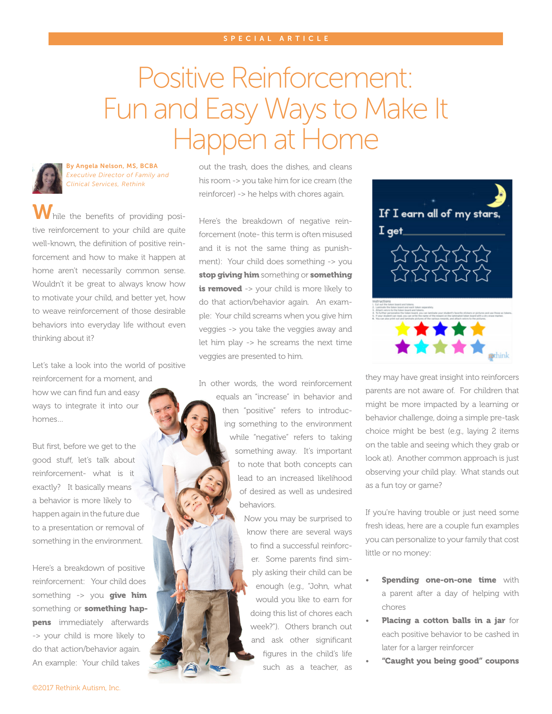## Positive Reinforcement: Fun and Easy Ways to Make It Happen at Home



homes…

By Angela Nelson, MS, BCBA *Executive Director of Family and Clinical Services, Rethink*

While the benefits of providing positive reinforcement to your child are quite well-known, the definition of positive reinforcement and how to make it happen at home aren't necessarily common sense. Wouldn't it be great to always know how to motivate your child, and better yet, how to weave reinforcement of those desirable behaviors into everyday life without even thinking about it?

Let's take a look into the world of positive reinforcement for a moment, and how we can find fun and easy ways to integrate it into our

But first, before we get to the good stuff, let's talk about reinforcement- what is it exactly? It basically means a behavior is more likely to happen again in the future due to a presentation or removal of something in the environment.

Here's a breakdown of positive reinforcement: Your child does something  $\rightarrow$  you give him something or **something happens** immediately afterwards -> your child is more likely to do that action/behavior again. An example: Your child takes

out the trash, does the dishes, and cleans his room -> you take him for ice cream (the reinforcer) -> he helps with chores again.

Here's the breakdown of negative reinforcement (note- this term is often misused and it is not the same thing as punishment): Your child does something -> you stop giving him something or something is removed -> your child is more likely to do that action/behavior again. An example: Your child screams when you give him veggies -> you take the veggies away and let him play -> he screams the next time veggies are presented to him.

In other words, the word reinforcement equals an "increase" in behavior and then "positive" refers to introducing something to the environment while "negative" refers to taking something away. It's important to note that both concepts can lead to an increased likelihood of desired as well as undesired behaviors.

> Now you may be surprised to know there are several ways to find a successful reinforcer. Some parents find simply asking their child can be enough (e.g., "John, what would you like to earn for doing this list of chores each week?"). Others branch out and ask other significant figures in the child's life such as a teacher, as



they may have great insight into reinforcers parents are not aware of. For children that might be more impacted by a learning or behavior challenge, doing a simple pre-task choice might be best (e.g., laying 2 items on the table and seeing which they grab or look at). Another common approach is just observing your child play. What stands out as a fun toy or game?

If you're having trouble or just need some fresh ideas, here are a couple fun examples you can personalize to your family that cost little or no money:

- **Spending one-on-one time** with a parent after a day of helping with chores
- Placing a cotton balls in a jar for each positive behavior to be cashed in later for a larger reinforcer
- "Caught you being good" coupons